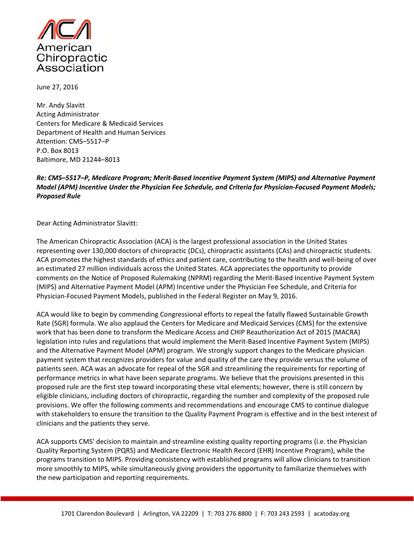

June 27, 2016

Mr. Andy Slavitt Acting Administrator Centers for Medicare & Medicaid Services Department of Health and Human Services Attention: CMS–5517–P P.O. Box 8013 Baltimore, MD 21244–8013

# *Re: CMS–5517–P, Medicare Program; Merit‐Based Incentive Payment System (MIPS) and Alternative Payment Model (APM) Incentive Under the Physician Fee Schedule, and Criteria for Physician‐Focused Payment Models; Proposed Rule*

Dear Acting Administrator Slavitt:

The American Chiropractic Association (ACA) is the largest professional association in the United States representing over 130,000 doctors of chiropractic (DCs), chiropractic assistants (CAs) and chiropractic students. ACA promotes the highest standards of ethics and patient care, contributing to the health and well‐being of over an estimated 27 million individuals across the United States. ACA appreciates the opportunity to provide comments on the Notice of Proposed Rulemaking (NPRM) regarding the Merit‐Based Incentive Payment System (MIPS) and Alternative Payment Model (APM) Incentive under the Physician Fee Schedule, and Criteria for Physician‐Focused Payment Models, published in the Federal Register on May 9, 2016.

ACA would like to begin by commending Congressional efforts to repeal the fatally flawed Sustainable Growth Rate (SGR) formula. We also applaud the Centers for Medicare and Medicaid Services (CMS) for the extensive work that has been done to transform the Medicare Access and CHIP Reauthorization Act of 2015 (MACRA) legislation into rules and regulations that would implement the Merit‐Based Incentive Payment System (MIPS) and the Alternative Payment Model (APM) program. We strongly support changes to the Medicare physician payment system that recognizes providers for value and quality of the care they provide versus the volume of patients seen. ACA was an advocate for repeal of the SGR and streamlining the requirements for reporting of performance metrics in what have been separate programs. We believe that the provisions presented in this proposed rule are the first step toward incorporating these vital elements; however, there is still concern by eligible clinicians, including doctors of chiropractic, regarding the number and complexity of the proposed rule provisions. We offer the following comments and recommendations and encourage CMS to continue dialogue with stakeholders to ensure the transition to the Quality Payment Program is effective and in the best interest of clinicians and the patients they serve.

ACA supports CMS' decision to maintain and streamline existing quality reporting programs (i.e. the Physician Quality Reporting System (PQRS) and Medicare Electronic Health Record (EHR) Incentive Program), while the programs transition to MIPS. Providing consistency with established programs will allow clinicians to transition more smoothly to MIPS, while simultaneously giving providers the opportunity to familiarize themselves with the new participation and reporting requirements.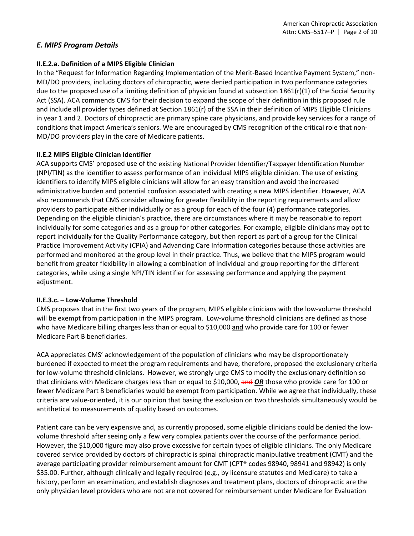# *E. MIPS Program Details*

### **II.E.2.a. Definition of a MIPS Eligible Clinician**

In the "Request for Information Regarding Implementation of the Merit‐Based Incentive Payment System," non‐ MD/DO providers, including doctors of chiropractic, were denied participation in two performance categories due to the proposed use of a limiting definition of physician found at subsection 1861(r)(1) of the Social Security Act (SSA). ACA commends CMS for their decision to expand the scope of their definition in this proposed rule and include all provider types defined at Section 1861(r) of the SSA in their definition of MIPS Eligible Clinicians in year 1 and 2. Doctors of chiropractic are primary spine care physicians, and provide key services for a range of conditions that impact America's seniors. We are encouraged by CMS recognition of the critical role that non‐ MD/DO providers play in the care of Medicare patients.

### **II.E.2 MIPS Eligible Clinician Identifier**

ACA supports CMS' proposed use of the existing National Provider Identifier/Taxpayer Identification Number (NPI/TIN) as the identifier to assess performance of an individual MIPS eligible clinician. The use of existing identifiers to identify MIPS eligible clinicians will allow for an easy transition and avoid the increased administrative burden and potential confusion associated with creating a new MIPS identifier. However, ACA also recommends that CMS consider allowing for greater flexibility in the reporting requirements and allow providers to participate either individually or as a group for each of the four (4) performance categories. Depending on the eligible clinician's practice, there are circumstances where it may be reasonable to report individually for some categories and as a group for other categories. For example, eligible clinicians may opt to report individually for the Quality Performance category, but then report as part of a group for the Clinical Practice Improvement Activity (CPIA) and Advancing Care Information categories because those activities are performed and monitored at the group level in their practice. Thus, we believe that the MIPS program would benefit from greater flexibility in allowing a combination of individual and group reporting for the different categories, while using a single NPI/TIN identifier for assessing performance and applying the payment adjustment.

# **II.E.3.c. – Low‐Volume Threshold**

CMS proposes that in the first two years of the program, MIPS eligible clinicians with the low‐volume threshold will be exempt from participation in the MIPS program. Low-volume threshold clinicians are defined as those who have Medicare billing charges less than or equal to \$10,000 and who provide care for 100 or fewer Medicare Part B beneficiaries.

ACA appreciates CMS' acknowledgement of the population of clinicians who may be disproportionately burdened if expected to meet the program requirements and have, therefore, proposed the exclusionary criteria for low-volume threshold clinicians. However, we strongly urge CMS to modify the exclusionary definition so that clinicians with Medicare charges less than or equal to \$10,000, and *OR* those who provide care for 100 or fewer Medicare Part B beneficiaries would be exempt from participation. While we agree that individually, these criteria are value‐oriented, it is our opinion that basing the exclusion on two thresholds simultaneously would be antithetical to measurements of quality based on outcomes.

Patient care can be very expensive and, as currently proposed, some eligible clinicians could be denied the low‐ volume threshold after seeing only a few very complex patients over the course of the performance period. However, the \$10,000 figure may also prove excessive for certain types of eligible clinicians. The only Medicare covered service provided by doctors of chiropractic is spinal chiropractic manipulative treatment (CMT) and the average participating provider reimbursement amount for CMT (CPT® codes 98940, 98941 and 98942) is only \$35.00. Further, although clinically and legally required (e.g., by licensure statutes and Medicare) to take a history, perform an examination, and establish diagnoses and treatment plans, doctors of chiropractic are the only physician level providers who are not are not covered for reimbursement under Medicare for Evaluation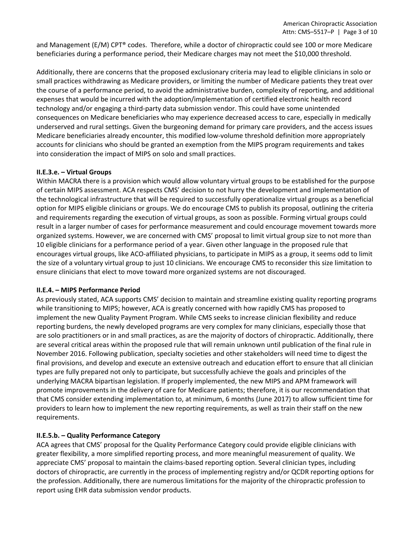and Management (E/M) CPT® codes. Therefore, while a doctor of chiropractic could see 100 or more Medicare beneficiaries during a performance period, their Medicare charges may not meet the \$10,000 threshold.

Additionally, there are concerns that the proposed exclusionary criteria may lead to eligible clinicians in solo or small practices withdrawing as Medicare providers, or limiting the number of Medicare patients they treat over the course of a performance period, to avoid the administrative burden, complexity of reporting, and additional expenses that would be incurred with the adoption/implementation of certified electronic health record technology and/or engaging a third‐party data submission vendor. This could have some unintended consequences on Medicare beneficiaries who may experience decreased access to care, especially in medically underserved and rural settings. Given the burgeoning demand for primary care providers, and the access issues Medicare beneficiaries already encounter, this modified low-volume threshold definition more appropriately accounts for clinicians who should be granted an exemption from the MIPS program requirements and takes into consideration the impact of MIPS on solo and small practices.

#### **II.E.3.e. – Virtual Groups**

Within MACRA there is a provision which would allow voluntary virtual groups to be established for the purpose of certain MIPS assessment. ACA respects CMS' decision to not hurry the development and implementation of the technological infrastructure that will be required to successfully operationalize virtual groups as a beneficial option for MIPS eligible clinicians or groups. We do encourage CMS to publish its proposal, outlining the criteria and requirements regarding the execution of virtual groups, as soon as possible. Forming virtual groups could result in a larger number of cases for performance measurement and could encourage movement towards more organized systems. However, we are concerned with CMS' proposal to limit virtual group size to not more than 10 eligible clinicians for a performance period of a year. Given other language in the proposed rule that encourages virtual groups, like ACO‐affiliated physicians, to participate in MIPS as a group, it seems odd to limit the size of a voluntary virtual group to just 10 clinicians. We encourage CMS to reconsider this size limitation to ensure clinicians that elect to move toward more organized systems are not discouraged.

#### **II.E.4. – MIPS Performance Period**

As previously stated, ACA supports CMS' decision to maintain and streamline existing quality reporting programs while transitioning to MIPS; however, ACA is greatly concerned with how rapidly CMS has proposed to implement the new Quality Payment Program. While CMS seeks to increase clinician flexibility and reduce reporting burdens, the newly developed programs are very complex for many clinicians, especially those that are solo practitioners or in and small practices, as are the majority of doctors of chiropractic. Additionally, there are several critical areas within the proposed rule that will remain unknown until publication of the final rule in November 2016. Following publication, specialty societies and other stakeholders will need time to digest the final provisions, and develop and execute an extensive outreach and education effort to ensure that all clinician types are fully prepared not only to participate, but successfully achieve the goals and principles of the underlying MACRA bipartisan legislation. If properly implemented, the new MIPS and APM framework will promote improvements in the delivery of care for Medicare patients; therefore, it is our recommendation that that CMS consider extending implementation to, at minimum, 6 months (June 2017) to allow sufficient time for providers to learn how to implement the new reporting requirements, as well as train their staff on the new requirements.

#### **II.E.5.b. – Quality Performance Category**

ACA agrees that CMS' proposal for the Quality Performance Category could provide eligible clinicians with greater flexibility, a more simplified reporting process, and more meaningful measurement of quality. We appreciate CMS' proposal to maintain the claims-based reporting option. Several clinician types, including doctors of chiropractic, are currently in the process of implementing registry and/or QCDR reporting options for the profession. Additionally, there are numerous limitations for the majority of the chiropractic profession to report using EHR data submission vendor products.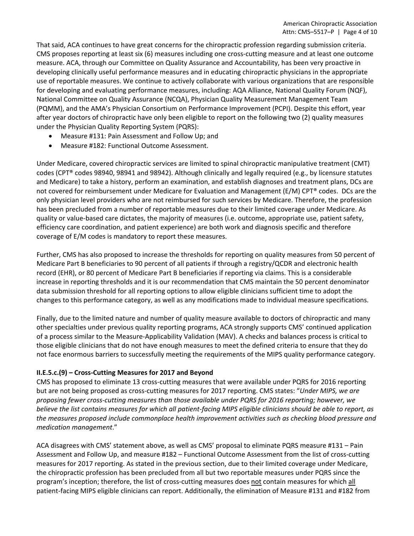That said, ACA continues to have great concerns for the chiropractic profession regarding submission criteria. CMS proposes reporting at least six (6) measures including one cross‐cutting measure and at least one outcome measure. ACA, through our Committee on Quality Assurance and Accountability, has been very proactive in developing clinically useful performance measures and in educating chiropractic physicians in the appropriate use of reportable measures. We continue to actively collaborate with various organizations that are responsible for developing and evaluating performance measures, including: AQA Alliance, National Quality Forum (NQF), National Committee on Quality Assurance (NCQA), Physician Quality Measurement Management Team (PQMM), and the AMA's Physician Consortium on Performance Improvement (PCPI). Despite this effort, year after year doctors of chiropractic have only been eligible to report on the following two (2) quality measures under the Physician Quality Reporting System (PQRS):

- Measure #131: Pain Assessment and Follow Up; and
- Measure #182: Functional Outcome Assessment.

Under Medicare, covered chiropractic services are limited to spinal chiropractic manipulative treatment (CMT) codes (CPT® codes 98940, 98941 and 98942). Although clinically and legally required (e.g., by licensure statutes and Medicare) to take a history, perform an examination, and establish diagnoses and treatment plans, DCs are not covered for reimbursement under Medicare for Evaluation and Management (E/M) CPT® codes. DCs are the only physician level providers who are not reimbursed for such services by Medicare. Therefore, the profession has been precluded from a number of reportable measures due to their limited coverage under Medicare. As quality or value‐based care dictates, the majority of measures (i.e. outcome, appropriate use, patient safety, efficiency care coordination, and patient experience) are both work and diagnosis specific and therefore coverage of E/M codes is mandatory to report these measures.

Further, CMS has also proposed to increase the thresholds for reporting on quality measures from 50 percent of Medicare Part B beneficiaries to 90 percent of all patients if through a registry/QCDR and electronic health record (EHR), or 80 percent of Medicare Part B beneficiaries if reporting via claims. This is a considerable increase in reporting thresholds and it is our recommendation that CMS maintain the 50 percent denominator data submission threshold for all reporting options to allow eligible clinicians sufficient time to adopt the changes to this performance category, as well as any modifications made to individual measure specifications.

Finally, due to the limited nature and number of quality measure available to doctors of chiropractic and many other specialties under previous quality reporting programs, ACA strongly supports CMS' continued application of a process similar to the Measure‐Applicability Validation (MAV). A checks and balances process is critical to those eligible clinicians that do not have enough measures to meet the defined criteria to ensure that they do not face enormous barriers to successfully meeting the requirements of the MIPS quality performance category.

# **II.E.5.c.(9) – Cross‐Cutting Measures for 2017 and Beyond**

CMS has proposed to eliminate 13 cross‐cutting measures that were available under PQRS for 2016 reporting but are not being proposed as cross‐cutting measures for 2017 reporting. CMS states: "*Under MIPS, we are proposing fewer cross‐cutting measures than those available under PQRS for 2016 reporting; however, we* believe the list contains measures for which all patient-facing MIPS eligible clinicians should be able to report, as *the measures proposed include commonplace health improvement activities such as checking blood pressure and medication management*."

ACA disagrees with CMS' statement above, as well as CMS' proposal to eliminate PQRS measure #131 – Pain Assessment and Follow Up, and measure #182 – Functional Outcome Assessment from the list of cross-cutting measures for 2017 reporting. As stated in the previous section, due to their limited coverage under Medicare, the chiropractic profession has been precluded from all but two reportable measures under PQRS since the program's inception; therefore, the list of cross‐cutting measures does not contain measures for which all patient‐facing MIPS eligible clinicians can report. Additionally, the elimination of Measure #131 and #182 from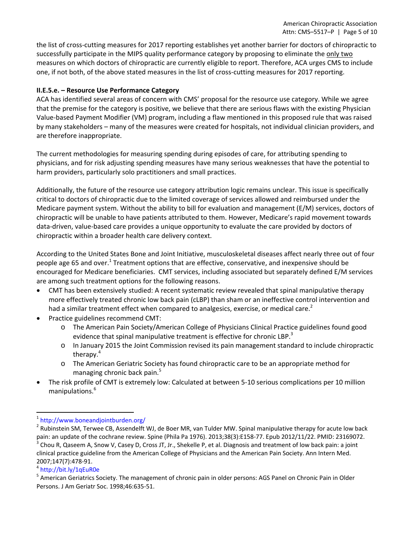the list of cross‐cutting measures for 2017 reporting establishes yet another barrier for doctors of chiropractic to successfully participate in the MIPS quality performance category by proposing to eliminate the only two measures on which doctors of chiropractic are currently eligible to report. Therefore, ACA urges CMS to include one, if not both, of the above stated measures in the list of cross-cutting measures for 2017 reporting.

### **II.E.5.e. – Resource Use Performance Category**

ACA has identified several areas of concern with CMS' proposal for the resource use category. While we agree that the premise for the category is positive, we believe that there are serious flaws with the existing Physician Value‐based Payment Modifier (VM) program, including a flaw mentioned in this proposed rule that was raised by many stakeholders – many of the measures were created for hospitals, not individual clinician providers, and are therefore inappropriate.

The current methodologies for measuring spending during episodes of care, for attributing spending to physicians, and for risk adjusting spending measures have many serious weaknesses that have the potential to harm providers, particularly solo practitioners and small practices.

Additionally, the future of the resource use category attribution logic remains unclear. This issue is specifically critical to doctors of chiropractic due to the limited coverage of services allowed and reimbursed under the Medicare payment system. Without the ability to bill for evaluation and management (E/M) services, doctors of chiropractic will be unable to have patients attributed to them. However, Medicare's rapid movement towards data‐driven, value‐based care provides a unique opportunity to evaluate the care provided by doctors of chiropractic within a broader health care delivery context.

According to the United States Bone and Joint Initiative, musculoskeletal diseases affect nearly three out of four people age 65 and over.<sup>1</sup> Treatment options that are effective, conservative, and inexpensive should be encouraged for Medicare beneficiaries. CMT services, including associated but separately defined E/M services are among such treatment options for the following reasons.

- CMT has been extensively studied: A recent systematic review revealed that spinal manipulative therapy more effectively treated chronic low back pain (cLBP) than sham or an ineffective control intervention and had a similar treatment effect when compared to analgesics, exercise, or medical care.<sup>2</sup>
- Practice guidelines recommend CMT:
	- o The American Pain Society/American College of Physicians Clinical Practice guidelines found good evidence that spinal manipulative treatment is effective for chronic LBP. $3$
	- o In January 2015 the Joint Commission revised its pain management standard to include chiropractic therapy.<sup>4</sup>
	- o The American Geriatric Society has found chiropractic care to be an appropriate method for managing chronic back pain.<sup>5</sup>
- The risk profile of CMT is extremely low: Calculated at between 5‐10 serious complications per 10 million manipulations.<sup>6</sup>

 $1 \text{ http://www.boneandjointburden.org/}$ <br>
<sup>2</sup> Rubinstein SM, Terwee CB, Assendelft WJ, de Boer MR, van Tulder MW. Spinal manipulative therapy for acute low back pain: an update of the cochrane review. Spine (Phila Pa 1976). 2013;38(3):E158-77. Epub 2012/11/22. PMID: 23169072.<br><sup>3</sup> Chou R, Qaseem A, Snow V, Casey D, Cross JT, Jr., Shekelle P, et al. Diagnosis and treatment of low ba clinical practice guideline from the American College of Physicians and the American Pain Society. Ann Intern Med. 2007;147(7):478-91.<br><sup>4</sup> http://bit.ly/1qEuR0e<br><sup>5</sup> American Geriatrics Society. The management of chronic pain in older persons: AGS Panel on Chronic Pain in Older

Persons. J Am Geriatr Soc. 1998;46:635‐51.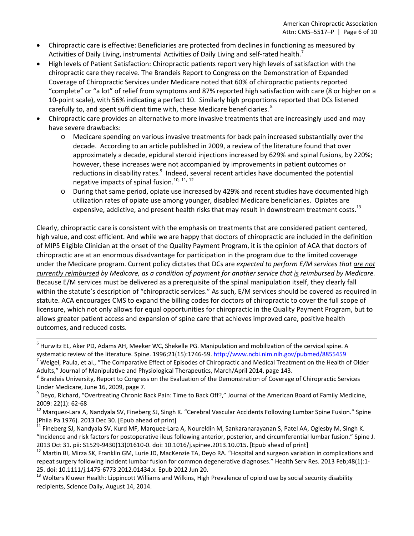- Chiropractic care is effective: Beneficiaries are protected from declines in functioning as measured by Activities of Daily Living, instrumental Activities of Daily Living and self-rated health.<sup>7</sup>
- High levels of Patient Satisfaction: Chiropractic patients report very high levels of satisfaction with the chiropractic care they receive. The Brandeis Report to Congress on the Demonstration of Expanded Coverage of Chiropractic Services under Medicare noted that 60% of chiropractic patients reported "complete" or "a lot" of relief from symptoms and 87% reported high satisfaction with care (8 or higher on a 10‐point scale), with 56% indicating a perfect 10. Similarly high proportions reported that DCs listened carefully to, and spent sufficient time with, these Medicare beneficiaries. <sup>8</sup>
- Chiropractic care provides an alternative to more invasive treatments that are increasingly used and may have severe drawbacks:
	- o Medicare spending on various invasive treatments for back pain increased substantially over the decade. According to an article published in 2009, a review of the literature found that over approximately a decade, epidural steroid injections increased by 629% and spinal fusions, by 220%; however, these increases were not accompanied by improvements in patient outcomes or reductions in disability rates.<sup>9</sup> Indeed, several recent articles have documented the potential negative impacts of spinal fusion.<sup>10, 11, 12</sup>
	- o During that same period, opiate use increased by 429% and recent studies have documented high utilization rates of opiate use among younger, disabled Medicare beneficiaries. Opiates are expensive, addictive, and present health risks that may result in downstream treatment costs.<sup>13</sup>

Clearly, chiropractic care is consistent with the emphasis on treatments that are considered patient centered, high value, and cost efficient. And while we are happy that doctors of chiropractic are included in the definition of MIPS Eligible Clinician at the onset of the Quality Payment Program, it is the opinion of ACA that doctors of chiropractic are at an enormous disadvantage for participation in the program due to the limited coverage under the Medicare program. Current policy dictates that DCs are *expected to perform E/M services that are not* currently reimbursed by Medicare, as a condition of payment for another service that is reimbursed by Medicare. Because E/M services must be delivered as a prerequisite of the spinal manipulation itself, they clearly fall within the statute's description of "chiropractic services." As such, E/M services should be covered as required in statute. ACA encourages CMS to expand the billing codes for doctors of chiropractic to cover the full scope of licensure, which not only allows for equal opportunities for chiropractic in the Quality Payment Program, but to allows greater patient access and expansion of spine care that achieves improved care, positive health outcomes, and reduced costs.

recipients, Science Daily, August 14, 2014.

 $6$  Hurwitz EL, Aker PD, Adams AH, Meeker WC, Shekelle PG. Manipulation and mobilization of the cervical spine. A systematic review of the literature. Spine. 1996;21(15):1746-59. http://www.ncbi.nlm.nih.gov/pubmed/8855459<br><sup>7</sup> Weigel, Paula, et al., "The Comparative Effect of Episodes of Chiropractic and Medical Treatment on the Health

Adults," Journal of Manipulative and Physiological Therapeutics, March/April 2014, page 143.<br><sup>8</sup> Brandeis University, Report to Congress on the Evaluation of the Demonstration of Coverage of Chiropractic Services

Under Medicare, June 16, 2009, page 7.<br><sup>9</sup> Deyo, Richard, "Overtreating Chronic Back Pain: Time to Back Off?," Journal of the American Board of Family Medicine,

<sup>2009: 22(1): 62-68&</sup>lt;br><sup>10</sup> Marquez-Lara A, Nandyala SV, Fineberg SJ, Singh K. "Cerebral Vascular Accidents Following Lumbar Spine Fusion." Spine (Phila Pa 1976). 2013 Dec 30. [Epub ahead of print]<br><sup>11</sup> Fineberg SJ, Nandyala SV, Kurd MF, Marquez-Lara A, Noureldin M, Sankaranarayanan S, Patel AA, Oglesby M, Singh K.

<sup>&</sup>quot;Incidence and risk factors for postoperative ileus following anterior, posterior, and circumferential lumbar fusion." Spine J. 2013 Oct 31. pii: S1529-9430(13)01610-0. doi: 10.1016/j.spinee.2013.10.015. [Epub ahead of print]<br><sup>12</sup> Martin BI, Mirza SK, Franklin GM, Lurie JD, MacKenzie TA, Deyo RA. "Hospital and surgeon variation in complications and

repeat surgery following incident lumbar fusion for common degenerative diagnoses." Health Serv Res. 2013 Feb;48(1):1-25. doi: 10.1111/j.1475-6773.2012.01434.x. Epub 2012 Jun 20.<br><sup>13</sup> Wolters Kluwer Health: Lippincott Williams and Wilkins, High Prevalence of opioid use by social security disability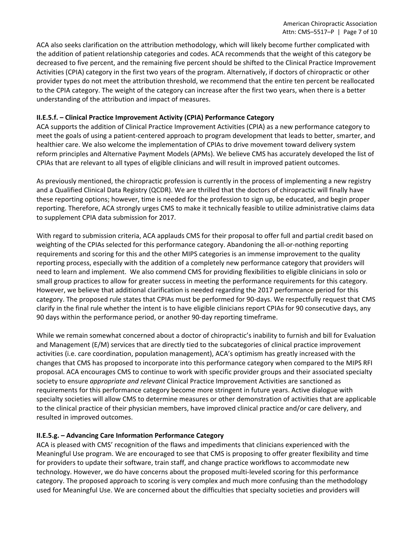ACA also seeks clarification on the attribution methodology, which will likely become further complicated with the addition of patient relationship categories and codes. ACA recommends that the weight of this category be decreased to five percent, and the remaining five percent should be shifted to the Clinical Practice Improvement Activities (CPIA) category in the first two years of the program. Alternatively, if doctors of chiropractic or other provider types do not meet the attribution threshold, we recommend that the entire ten percent be reallocated to the CPIA category. The weight of the category can increase after the first two years, when there is a better understanding of the attribution and impact of measures.

### **II.E.5.f. – Clinical Practice Improvement Activity (CPIA) Performance Category**

ACA supports the addition of Clinical Practice Improvement Activities (CPIA) as a new performance category to meet the goals of using a patient‐centered approach to program development that leads to better, smarter, and healthier care. We also welcome the implementation of CPIAs to drive movement toward delivery system reform principles and Alternative Payment Models (APMs). We believe CMS has accurately developed the list of CPIAs that are relevant to all types of eligible clinicians and will result in improved patient outcomes.

As previously mentioned, the chiropractic profession is currently in the process of implementing a new registry and a Qualified Clinical Data Registry (QCDR). We are thrilled that the doctors of chiropractic will finally have these reporting options; however, time is needed for the profession to sign up, be educated, and begin proper reporting. Therefore, ACA strongly urges CMS to make it technically feasible to utilize administrative claims data to supplement CPIA data submission for 2017.

With regard to submission criteria, ACA applauds CMS for their proposal to offer full and partial credit based on weighting of the CPIAs selected for this performance category. Abandoning the all‐or‐nothing reporting requirements and scoring for this and the other MIPS categories is an immense improvement to the quality reporting process, especially with the addition of a completely new performance category that providers will need to learn and implement. We also commend CMS for providing flexibilities to eligible clinicians in solo or small group practices to allow for greater success in meeting the performance requirements for this category. However, we believe that additional clarification is needed regarding the 2017 performance period for this category. The proposed rule states that CPIAs must be performed for 90‐days. We respectfully request that CMS clarify in the final rule whether the intent is to have eligible clinicians report CPIAs for 90 consecutive days, any 90 days within the performance period, or another 90‐day reporting timeframe.

While we remain somewhat concerned about a doctor of chiropractic's inability to furnish and bill for Evaluation and Management (E/M) services that are directly tied to the subcategories of clinical practice improvement activities (i.e. care coordination, population management), ACA's optimism has greatly increased with the changes that CMS has proposed to incorporate into this performance category when compared to the MIPS RFI proposal. ACA encourages CMS to continue to work with specific provider groups and their associated specialty society to ensure *appropriate and relevant* Clinical Practice Improvement Activities are sanctioned as requirements for this performance category become more stringent in future years. Active dialogue with specialty societies will allow CMS to determine measures or other demonstration of activities that are applicable to the clinical practice of their physician members, have improved clinical practice and/or care delivery, and resulted in improved outcomes.

#### **II.E.5.g. – Advancing Care Information Performance Category**

ACA is pleased with CMS' recognition of the flaws and impediments that clinicians experienced with the Meaningful Use program. We are encouraged to see that CMS is proposing to offer greater flexibility and time for providers to update their software, train staff, and change practice workflows to accommodate new technology. However, we do have concerns about the proposed multi‐leveled scoring for this performance category. The proposed approach to scoring is very complex and much more confusing than the methodology used for Meaningful Use. We are concerned about the difficulties that specialty societies and providers will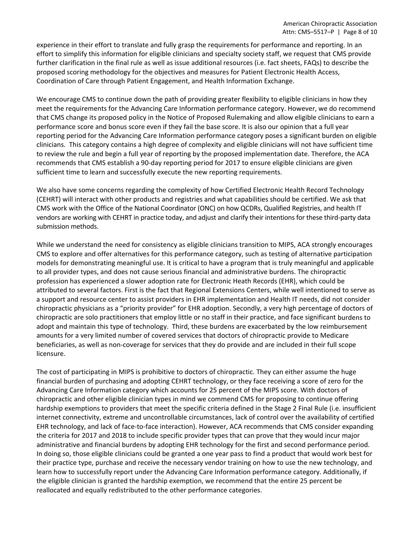experience in their effort to translate and fully grasp the requirements for performance and reporting. In an effort to simplify this information for eligible clinicians and specialty society staff, we request that CMS provide further clarification in the final rule as well as issue additional resources (i.e. fact sheets, FAQs) to describe the proposed scoring methodology for the objectives and measures for Patient Electronic Health Access, Coordination of Care through Patient Engagement, and Health Information Exchange.

We encourage CMS to continue down the path of providing greater flexibility to eligible clinicians in how they meet the requirements for the Advancing Care Information performance category. However, we do recommend that CMS change its proposed policy in the Notice of Proposed Rulemaking and allow eligible clinicians to earn a performance score and bonus score even if they fail the base score. It is also our opinion that a full year reporting period for the Advancing Care Information performance category poses a significant burden on eligible clinicians. This category contains a high degree of complexity and eligible clinicians will not have sufficient time to review the rule and begin a full year of reporting by the proposed implementation date. Therefore, the ACA recommends that CMS establish a 90‐day reporting period for 2017 to ensure eligible clinicians are given sufficient time to learn and successfully execute the new reporting requirements.

We also have some concerns regarding the complexity of how Certified Electronic Health Record Technology (CEHRT) will interact with other products and registries and what capabilities should be certified. We ask that CMS work with the Office of the National Coordinator (ONC) on how QCDRs, Qualified Registries, and health IT vendors are working with CEHRT in practice today, and adjust and clarify their intentions for these third‐party data submission methods.

While we understand the need for consistency as eligible clinicians transition to MIPS, ACA strongly encourages CMS to explore and offer alternatives for this performance category, such as testing of alternative participation models for demonstrating meaningful use. It is critical to have a program that is truly meaningful and applicable to all provider types, and does not cause serious financial and administrative burdens. The chiropractic profession has experienced a slower adoption rate for Electronic Heath Records (EHR), which could be attributed to several factors. First is the fact that Regional Extensions Centers, while well intentioned to serve as a support and resource center to assist providers in EHR implementation and Health IT needs, did not consider chiropractic physicians as a "priority provider" for EHR adoption. Secondly, a very high percentage of doctors of chiropractic are solo practitioners that employ little or no staff in their practice, and face significant burdens to adopt and maintain this type of technology. Third, these burdens are exacerbated by the low reimbursement amounts for a very limited number of covered services that doctors of chiropractic provide to Medicare beneficiaries, as well as non‐coverage for services that they do provide and are included in their full scope licensure.

The cost of participating in MIPS is prohibitive to doctors of chiropractic. They can either assume the huge financial burden of purchasing and adopting CEHRT technology, or they face receiving a score of zero for the Advancing Care Information category which accounts for 25 percent of the MIPS score. With doctors of chiropractic and other eligible clinician types in mind we commend CMS for proposing to continue offering hardship exemptions to providers that meet the specific criteria defined in the Stage 2 Final Rule (i.e. insufficient internet connectivity, extreme and uncontrollable circumstances, lack of control over the availability of certified EHR technology, and lack of face‐to‐face interaction). However, ACA recommends that CMS consider expanding the criteria for 2017 and 2018 to include specific provider types that can prove that they would incur major administrative and financial burdens by adopting EHR technology for the first and second performance period. In doing so, those eligible clinicians could be granted a one year pass to find a product that would work best for their practice type, purchase and receive the necessary vendor training on how to use the new technology, and learn how to successfully report under the Advancing Care Information performance category. Additionally, if the eligible clinician is granted the hardship exemption, we recommend that the entire 25 percent be reallocated and equally redistributed to the other performance categories.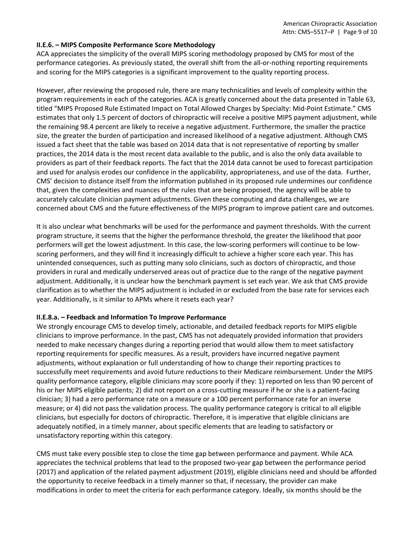#### **II.E.6. – MIPS Composite Performance Score Methodology**

ACA appreciates the simplicity of the overall MIPS scoring methodology proposed by CMS for most of the performance categories. As previously stated, the overall shift from the all‐or‐nothing reporting requirements and scoring for the MIPS categories is a significant improvement to the quality reporting process.

However, after reviewing the proposed rule, there are many technicalities and levels of complexity within the program requirements in each of the categories. ACA is greatly concerned about the data presented in Table 63, titled "MIPS Proposed Rule Estimated Impact on Total Allowed Charges by Specialty: Mid‐Point Estimate." CMS estimates that only 1.5 percent of doctors of chiropractic will receive a positive MIPS payment adjustment, while the remaining 98.4 percent are likely to receive a negative adjustment. Furthermore, the smaller the practice size, the greater the burden of participation and increased likelihood of a negative adjustment. Although CMS issued a fact sheet that the table was based on 2014 data that is not representative of reporting by smaller practices, the 2014 data is the most recent data available to the public, and is also the only data available to providers as part of their feedback reports. The fact that the 2014 data cannot be used to forecast participation and used for analysis erodes our confidence in the applicability, appropriateness, and use of the data. Further, CMS' decision to distance itself from the information published in its proposed rule undermines our confidence that, given the complexities and nuances of the rules that are being proposed, the agency will be able to accurately calculate clinician payment adjustments. Given these computing and data challenges, we are concerned about CMS and the future effectiveness of the MIPS program to improve patient care and outcomes.

It is also unclear what benchmarks will be used for the performance and payment thresholds. With the current program structure, it seems that the higher the performance threshold, the greater the likelihood that poor performers will get the lowest adjustment. In this case, the low-scoring performers will continue to be lowscoring performers, and they will find it increasingly difficult to achieve a higher score each year. This has unintended consequences, such as putting many solo clinicians, such as doctors of chiropractic, and those providers in rural and medically underserved areas out of practice due to the range of the negative payment adjustment. Additionally, it is unclear how the benchmark payment is set each year. We ask that CMS provide clarification as to whether the MIPS adjustment is included in or excluded from the base rate for services each year. Additionally, is it similar to APMs where it resets each year?

#### **II.E.8.a. – Feedback and Information To Improve Performance**

We strongly encourage CMS to develop timely, actionable, and detailed feedback reports for MIPS eligible clinicians to improve performance. In the past, CMS has not adequately provided information that providers needed to make necessary changes during a reporting period that would allow them to meet satisfactory reporting requirements for specific measures. As a result, providers have incurred negative payment adjustments, without explanation or full understanding of how to change their reporting practices to successfully meet requirements and avoid future reductions to their Medicare reimbursement. Under the MIPS quality performance category, eligible clinicians may score poorly if they: 1) reported on less than 90 percent of his or her MIPS eligible patients; 2) did not report on a cross-cutting measure if he or she is a patient-facing clinician; 3) had a zero performance rate on a measure or a 100 percent performance rate for an inverse measure; or 4) did not pass the validation process. The quality performance category is critical to all eligible clinicians, but especially for doctors of chiropractic. Therefore, it is imperative that eligible clinicians are adequately notified, in a timely manner, about specific elements that are leading to satisfactory or unsatisfactory reporting within this category.

CMS must take every possible step to close the time gap between performance and payment. While ACA appreciates the technical problems that lead to the proposed two‐year gap between the performance period (2017) and application of the related payment adjustment (2019), eligible clinicians need and should be afforded the opportunity to receive feedback in a timely manner so that, if necessary, the provider can make modifications in order to meet the criteria for each performance category. Ideally, six months should be the